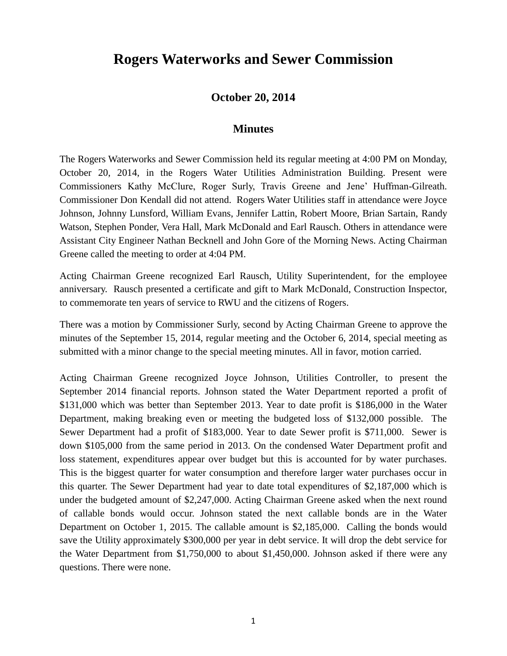## **Rogers Waterworks and Sewer Commission**

## **October 20, 2014**

## **Minutes**

The Rogers Waterworks and Sewer Commission held its regular meeting at 4:00 PM on Monday, October 20, 2014, in the Rogers Water Utilities Administration Building. Present were Commissioners Kathy McClure, Roger Surly, Travis Greene and Jene' Huffman-Gilreath. Commissioner Don Kendall did not attend. Rogers Water Utilities staff in attendance were Joyce Johnson, Johnny Lunsford, William Evans, Jennifer Lattin, Robert Moore, Brian Sartain, Randy Watson, Stephen Ponder, Vera Hall, Mark McDonald and Earl Rausch. Others in attendance were Assistant City Engineer Nathan Becknell and John Gore of the Morning News. Acting Chairman Greene called the meeting to order at 4:04 PM.

Acting Chairman Greene recognized Earl Rausch, Utility Superintendent, for the employee anniversary. Rausch presented a certificate and gift to Mark McDonald, Construction Inspector, to commemorate ten years of service to RWU and the citizens of Rogers.

There was a motion by Commissioner Surly, second by Acting Chairman Greene to approve the minutes of the September 15, 2014, regular meeting and the October 6, 2014, special meeting as submitted with a minor change to the special meeting minutes. All in favor, motion carried.

Acting Chairman Greene recognized Joyce Johnson, Utilities Controller, to present the September 2014 financial reports. Johnson stated the Water Department reported a profit of \$131,000 which was better than September 2013. Year to date profit is \$186,000 in the Water Department, making breaking even or meeting the budgeted loss of \$132,000 possible. The Sewer Department had a profit of \$183,000. Year to date Sewer profit is \$711,000. Sewer is down \$105,000 from the same period in 2013. On the condensed Water Department profit and loss statement, expenditures appear over budget but this is accounted for by water purchases. This is the biggest quarter for water consumption and therefore larger water purchases occur in this quarter. The Sewer Department had year to date total expenditures of \$2,187,000 which is under the budgeted amount of \$2,247,000. Acting Chairman Greene asked when the next round of callable bonds would occur. Johnson stated the next callable bonds are in the Water Department on October 1, 2015. The callable amount is \$2,185,000. Calling the bonds would save the Utility approximately \$300,000 per year in debt service. It will drop the debt service for the Water Department from \$1,750,000 to about \$1,450,000. Johnson asked if there were any questions. There were none.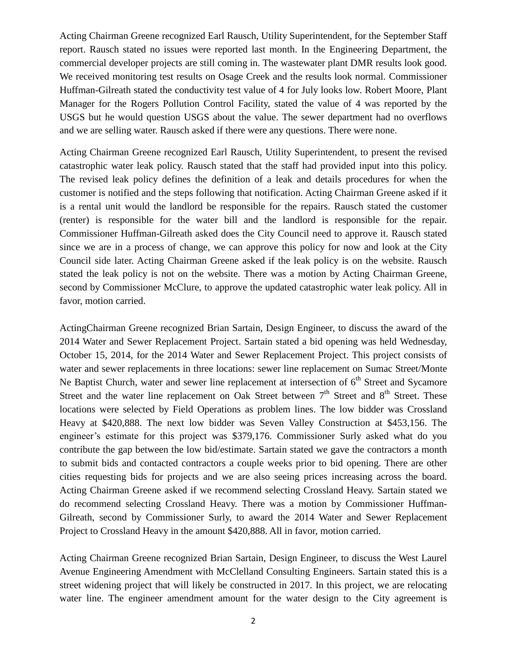Acting Chairman Greene recognized Earl Rausch, Utility Superintendent, for the September Staff report. Rausch stated no issues were reported last month. In the Engineering Department, the commercial developer projects are still coming in. The wastewater plant DMR results look good. We received monitoring test results on Osage Creek and the results look normal. Commissioner Huffman-Gilreath stated the conductivity test value of 4 for July looks low. Robert Moore, Plant Manager for the Rogers Pollution Control Facility, stated the value of 4 was reported by the USGS but he would question USGS about the value. The sewer department had no overflows and we are selling water. Rausch asked if there were any questions. There were none.

Acting Chairman Greene recognized Earl Rausch, Utility Superintendent, to present the revised catastrophic water leak policy. Rausch stated that the staff had provided input into this policy. The revised leak policy defines the definition of a leak and details procedures for when the customer is notified and the steps following that notification. Acting Chairman Greene asked if it is a rental unit would the landlord be responsible for the repairs. Rausch stated the customer (renter) is responsible for the water bill and the landlord is responsible for the repair. Commissioner Huffman-Gilreath asked does the City Council need to approve it. Rausch stated since we are in a process of change, we can approve this policy for now and look at the City Council side later. Acting Chairman Greene asked if the leak policy is on the website. Rausch stated the leak policy is not on the website. There was a motion by Acting Chairman Greene, second by Commissioner McClure, to approve the updated catastrophic water leak policy. All in favor, motion carried.

ActingChairman Greene recognized Brian Sartain, Design Engineer, to discuss the award of the 2014 Water and Sewer Replacement Project. Sartain stated a bid opening was held Wednesday, October 15, 2014, for the 2014 Water and Sewer Replacement Project. This project consists of water and sewer replacements in three locations: sewer line replacement on Sumac Street/Monte Ne Baptist Church, water and sewer line replacement at intersection of  $6<sup>th</sup>$  Street and Sycamore Street and the water line replacement on Oak Street between  $7<sup>th</sup>$  Street and  $8<sup>th</sup>$  Street. These locations were selected by Field Operations as problem lines. The low bidder was Crossland Heavy at \$420,888. The next low bidder was Seven Valley Construction at \$453,156. The engineer's estimate for this project was \$379,176. Commissioner Surly asked what do you contribute the gap between the low bid/estimate. Sartain stated we gave the contractors a month to submit bids and contacted contractors a couple weeks prior to bid opening. There are other cities requesting bids for projects and we are also seeing prices increasing across the board. Acting Chairman Greene asked if we recommend selecting Crossland Heavy. Sartain stated we do recommend selecting Crossland Heavy. There was a motion by Commissioner Huffman-Gilreath, second by Commissioner Surly, to award the 2014 Water and Sewer Replacement Project to Crossland Heavy in the amount \$420,888. All in favor, motion carried.

Acting Chairman Greene recognized Brian Sartain, Design Engineer, to discuss the West Laurel Avenue Engineering Amendment with McClelland Consulting Engineers. Sartain stated this is a street widening project that will likely be constructed in 2017. In this project, we are relocating water line. The engineer amendment amount for the water design to the City agreement is